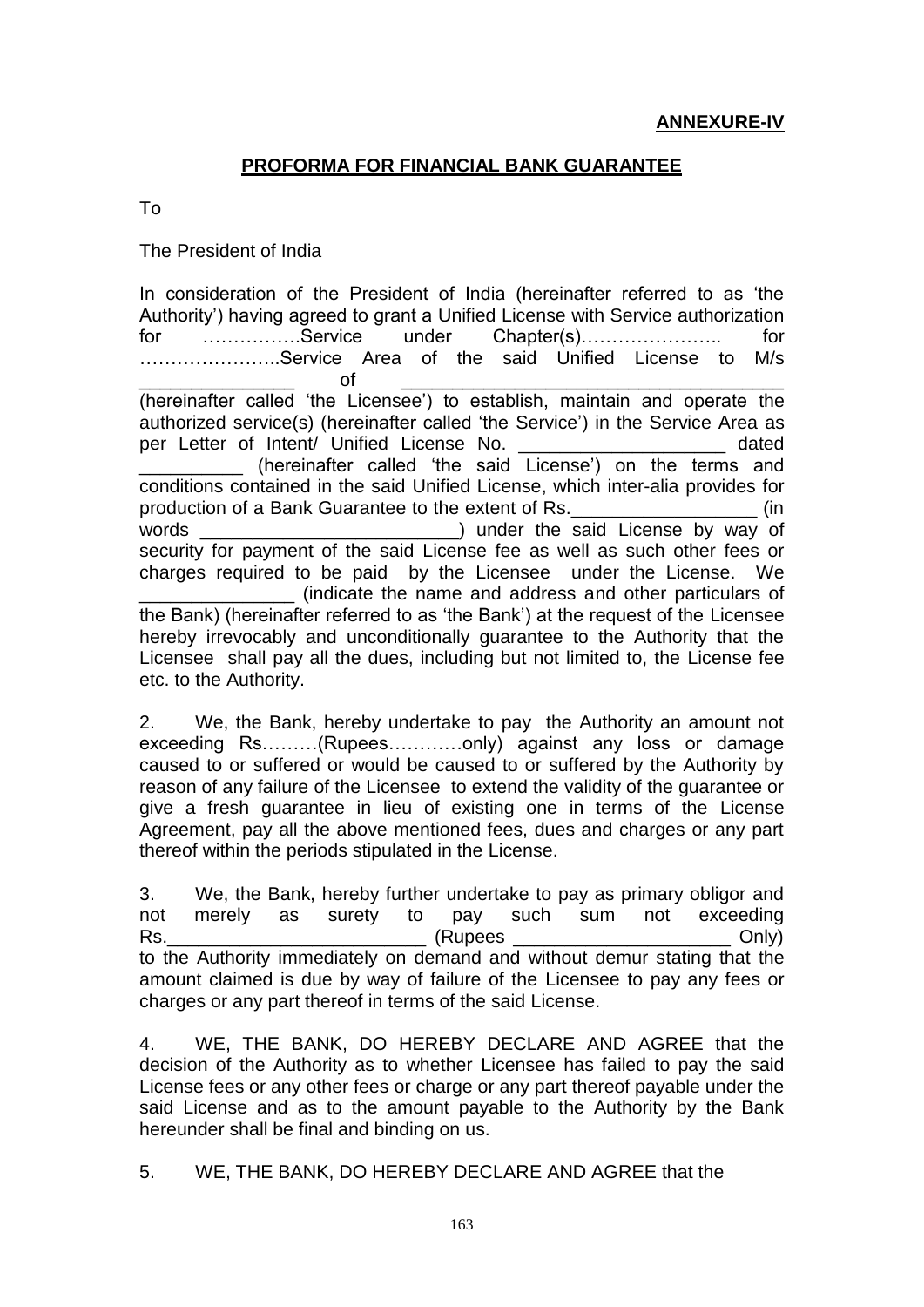## **PROFORMA FOR FINANCIAL BANK GUARANTEE**

To

The President of India

In consideration of the President of India (hereinafter referred to as 'the Authority') having agreed to grant a Unified License with Service authorization for …………….Service under Chapter(s)………………….. for …………………..Service Area of the said Unified License to M/s \_\_\_\_\_\_\_\_\_\_\_\_\_\_\_ of \_\_\_\_\_\_\_\_\_\_\_\_\_\_\_\_\_\_\_\_\_\_\_\_\_\_\_\_\_\_\_\_\_\_\_\_\_ (hereinafter called 'the Licensee') to establish, maintain and operate the authorized service(s) (hereinafter called 'the Service') in the Service Area as per Letter of Intent/ Unified License No. \_\_\_\_\_\_\_\_\_\_\_\_\_\_\_\_\_\_\_\_\_\_ dated (hereinafter called 'the said License') on the terms and conditions contained in the said Unified License, which inter-alia provides for production of a Bank Guarantee to the extent of Rs.  $\qquad \qquad$  (in words \_\_\_\_\_\_\_\_\_\_\_\_\_\_\_\_\_\_\_\_\_\_\_\_\_) under the said License by way of security for payment of the said License fee as well as such other fees or charges required to be paid by the Licensee under the License. We \_\_\_\_\_\_\_\_\_\_\_\_\_\_\_ (indicate the name and address and other particulars of the Bank) (hereinafter referred to as 'the Bank') at the request of the Licensee hereby irrevocably and unconditionally guarantee to the Authority that the Licensee shall pay all the dues, including but not limited to, the License fee etc. to the Authority.

2. We, the Bank, hereby undertake to pay the Authority an amount not exceeding Rs………(Rupees…………only) against any loss or damage caused to or suffered or would be caused to or suffered by the Authority by reason of any failure of the Licensee to extend the validity of the guarantee or give a fresh guarantee in lieu of existing one in terms of the License Agreement, pay all the above mentioned fees, dues and charges or any part thereof within the periods stipulated in the License.

3. We, the Bank, hereby further undertake to pay as primary obligor and not merely as surety to pay such sum not exceeding Rs. Contract the contract of the contract of the contract of the contract of the contract of the contract of the contract of the contract of the contract of the contract of the contract of the contract of the contract of t to the Authority immediately on demand and without demur stating that the amount claimed is due by way of failure of the Licensee to pay any fees or charges or any part thereof in terms of the said License.

4. WE, THE BANK, DO HEREBY DECLARE AND AGREE that the decision of the Authority as to whether Licensee has failed to pay the said License fees or any other fees or charge or any part thereof payable under the said License and as to the amount payable to the Authority by the Bank hereunder shall be final and binding on us.

5. WE, THE BANK, DO HEREBY DECLARE AND AGREE that the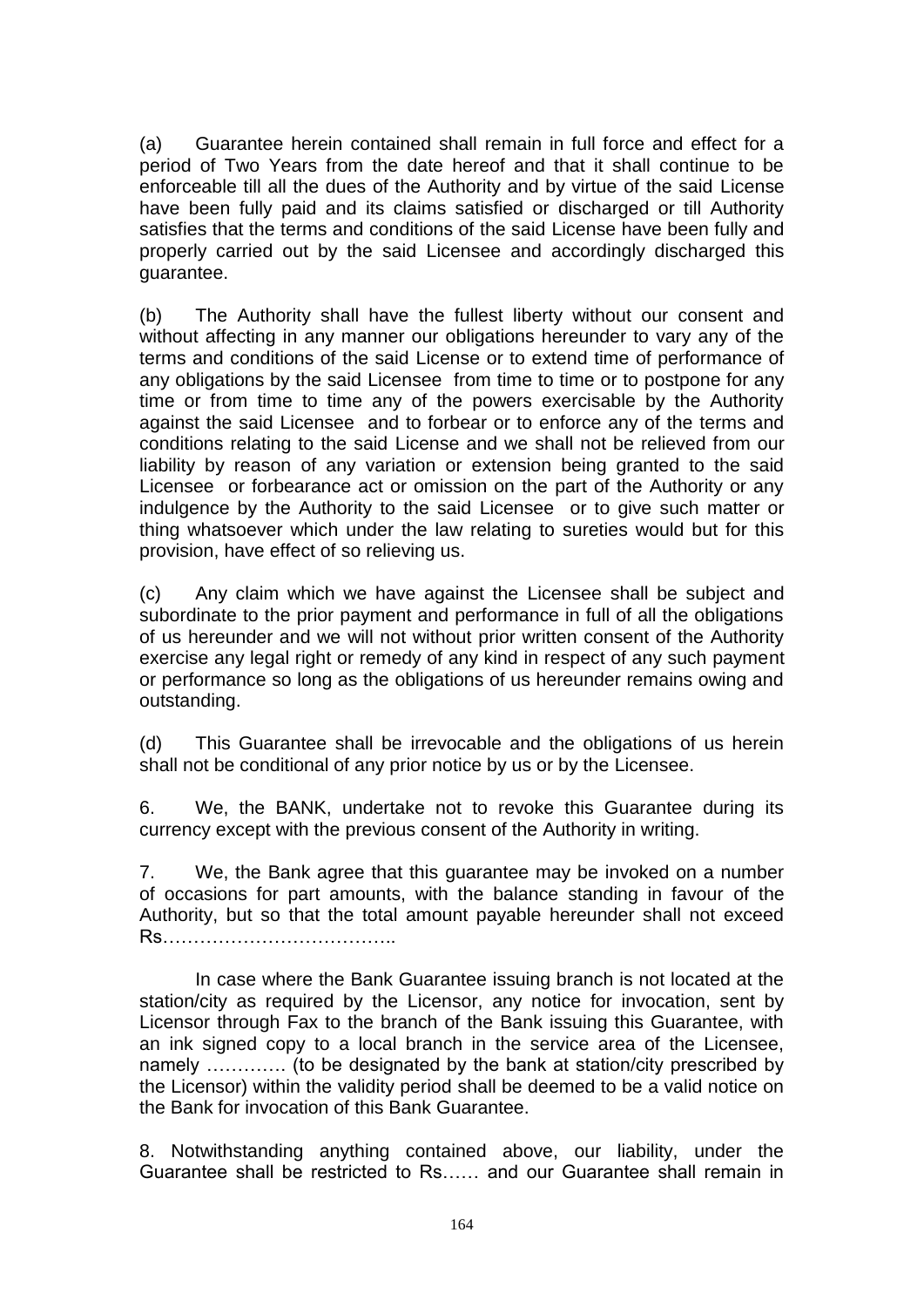(a) Guarantee herein contained shall remain in full force and effect for a period of Two Years from the date hereof and that it shall continue to be enforceable till all the dues of the Authority and by virtue of the said License have been fully paid and its claims satisfied or discharged or till Authority satisfies that the terms and conditions of the said License have been fully and properly carried out by the said Licensee and accordingly discharged this guarantee.

(b) The Authority shall have the fullest liberty without our consent and without affecting in any manner our obligations hereunder to vary any of the terms and conditions of the said License or to extend time of performance of any obligations by the said Licensee from time to time or to postpone for any time or from time to time any of the powers exercisable by the Authority against the said Licensee and to forbear or to enforce any of the terms and conditions relating to the said License and we shall not be relieved from our liability by reason of any variation or extension being granted to the said Licensee or forbearance act or omission on the part of the Authority or any indulgence by the Authority to the said Licensee or to give such matter or thing whatsoever which under the law relating to sureties would but for this provision, have effect of so relieving us.

(c) Any claim which we have against the Licensee shall be subject and subordinate to the prior payment and performance in full of all the obligations of us hereunder and we will not without prior written consent of the Authority exercise any legal right or remedy of any kind in respect of any such payment or performance so long as the obligations of us hereunder remains owing and outstanding.

(d) This Guarantee shall be irrevocable and the obligations of us herein shall not be conditional of any prior notice by us or by the Licensee.

6. We, the BANK, undertake not to revoke this Guarantee during its currency except with the previous consent of the Authority in writing.

7. We, the Bank agree that this guarantee may be invoked on a number of occasions for part amounts, with the balance standing in favour of the Authority, but so that the total amount payable hereunder shall not exceed Rs………………………………..

In case where the Bank Guarantee issuing branch is not located at the station/city as required by the Licensor, any notice for invocation, sent by Licensor through Fax to the branch of the Bank issuing this Guarantee, with an ink signed copy to a local branch in the service area of the Licensee, namely …………. (to be designated by the bank at station/city prescribed by the Licensor) within the validity period shall be deemed to be a valid notice on the Bank for invocation of this Bank Guarantee.

8. Notwithstanding anything contained above, our liability, under the Guarantee shall be restricted to Rs…… and our Guarantee shall remain in